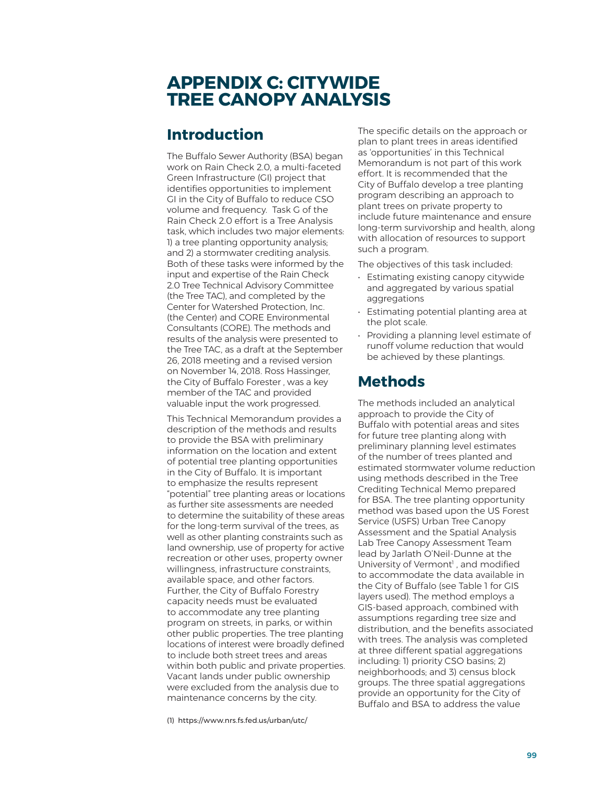# **APPENDIX C: CITYWIDE TREE CANOPY ANALYSIS**

# **Introduction**

The Buffalo Sewer Authority (BSA) began work on Rain Check 2.0, a multi-faceted Green Infrastructure (GI) project that identifies opportunities to implement GI in the City of Buffalo to reduce CSO volume and frequency. Task G of the Rain Check 2.0 effort is a Tree Analysis task, which includes two major elements: 1) a tree planting opportunity analysis; and 2) a stormwater crediting analysis. Both of these tasks were informed by the input and expertise of the Rain Check 2.0 Tree Technical Advisory Committee (the Tree TAC), and completed by the Center for Watershed Protection, Inc. (the Center) and CORE Environmental Consultants (CORE). The methods and results of the analysis were presented to the Tree TAC, as a draft at the September 26, 2018 meeting and a revised version on November 14, 2018. Ross Hassinger, the City of Buffalo Forester , was a key member of the TAC and provided valuable input the work progressed.

This Technical Memorandum provides a description of the methods and results to provide the BSA with preliminary information on the location and extent of potential tree planting opportunities in the City of Buffalo. It is important to emphasize the results represent "potential" tree planting areas or locations as further site assessments are needed to determine the suitability of these areas for the long-term survival of the trees, as well as other planting constraints such as land ownership, use of property for active recreation or other uses, property owner willingness, infrastructure constraints, available space, and other factors. Further, the City of Buffalo Forestry capacity needs must be evaluated to accommodate any tree planting program on streets, in parks, or within other public properties. The tree planting locations of interest were broadly deˎned to include both street trees and areas within both public and private properties. Vacant lands under public ownership were excluded from the analysis due to maintenance concerns by the city.

(1) https://www.nrs.fs.fed.us/urban/utc/

The specific details on the approach or plan to plant trees in areas identified as 'opportunities' in this Technical Memorandum is not part of this work effort. It is recommended that the City of Buffalo develop a tree planting program describing an approach to plant trees on private property to include future maintenance and ensure long-term survivorship and health, along with allocation of resources to support such a program.

The objectives of this task included:

- Estimating existing canopy citywide and aggregated by various spatial aggregations
- Estimating potential planting area at the plot scale.
- Providing a planning level estimate of runoff volume reduction that would be achieved by these plantings.

## **Methods**

The methods included an analytical approach to provide the City of Buffalo with potential areas and sites for future tree planting along with preliminary planning level estimates of the number of trees planted and estimated stormwater volume reduction using methods described in the Tree Crediting Technical Memo prepared for BSA. The tree planting opportunity method was based upon the US Forest Service (USFS) Urban Tree Canopy Assessment and the Spatial Analysis Lab Tree Canopy Assessment Team lead by Jarlath O'Neil-Dunne at the University of Vermont<sup>1</sup>, and modified to accommodate the data available in the City of Buffalo (see Table 1 for GIS layers used). The method employs a GIS-based approach, combined with assumptions regarding tree size and distribution, and the benefits associated with trees. The analysis was completed at three different spatial aggregations including: 1) priority CSO basins; 2) neighborhoods; and 3) census block groups. The three spatial aggregations provide an opportunity for the City of Buffalo and BSA to address the value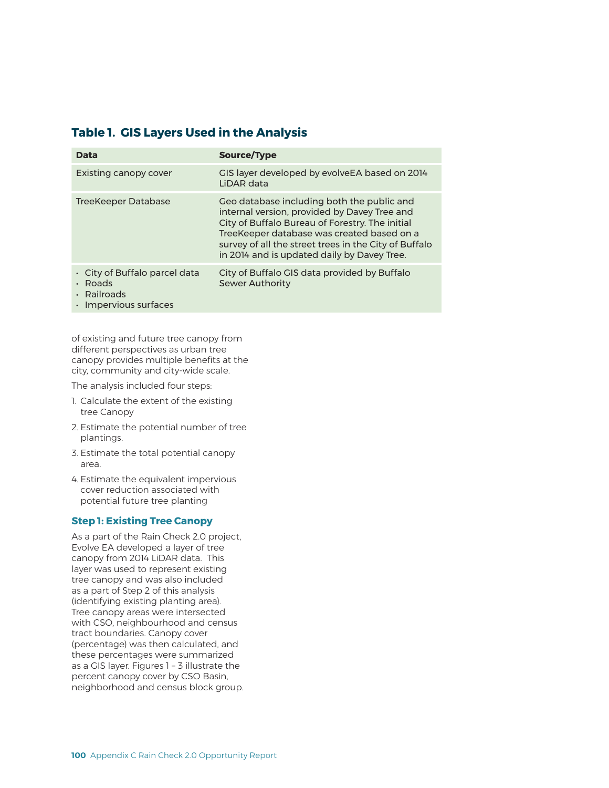### **Table 1. GIS Layers Used in the Analysis**

| Data                                                                       | Source/Type                                                                                                                                                                                                                                                                                         |
|----------------------------------------------------------------------------|-----------------------------------------------------------------------------------------------------------------------------------------------------------------------------------------------------------------------------------------------------------------------------------------------------|
| Existing canopy cover                                                      | GIS layer developed by evolveEA based on 2014<br>LIDAR data                                                                                                                                                                                                                                         |
| TreeKeeper Database                                                        | Geo database including both the public and<br>internal version, provided by Davey Tree and<br>City of Buffalo Bureau of Forestry. The initial<br>TreeKeeper database was created based on a<br>survey of all the street trees in the City of Buffalo<br>in 2014 and is updated daily by Davey Tree. |
| City of Buffalo parcel data<br>Roads<br>Railroads<br>· Impervious surfaces | City of Buffalo GIS data provided by Buffalo<br><b>Sewer Authority</b>                                                                                                                                                                                                                              |

of existing and future tree canopy from different perspectives as urban tree canopy provides multiple benefits at the city, community and city-wide scale.

The analysis included four steps:

- 1. Calculate the extent of the existing tree Canopy
- 2. Estimate the potential number of tree plantings.
- 3. Estimate the total potential canopy area.
- 4. Estimate the equivalent impervious cover reduction associated with potential future tree planting

#### **Step 1: Existing Tree Canopy**

As a part of the Rain Check 2.0 project, Evolve EA developed a layer of tree canopy from 2014 LiDAR data. This layer was used to represent existing tree canopy and was also included as a part of Step 2 of this analysis (identifying existing planting area). Tree canopy areas were intersected with CSO, neighbourhood and census tract boundaries. Canopy cover (percentage) was then calculated, and these percentages were summarized as a GIS layer. Figures 1 – 3 illustrate the percent canopy cover by CSO Basin, neighborhood and census block group.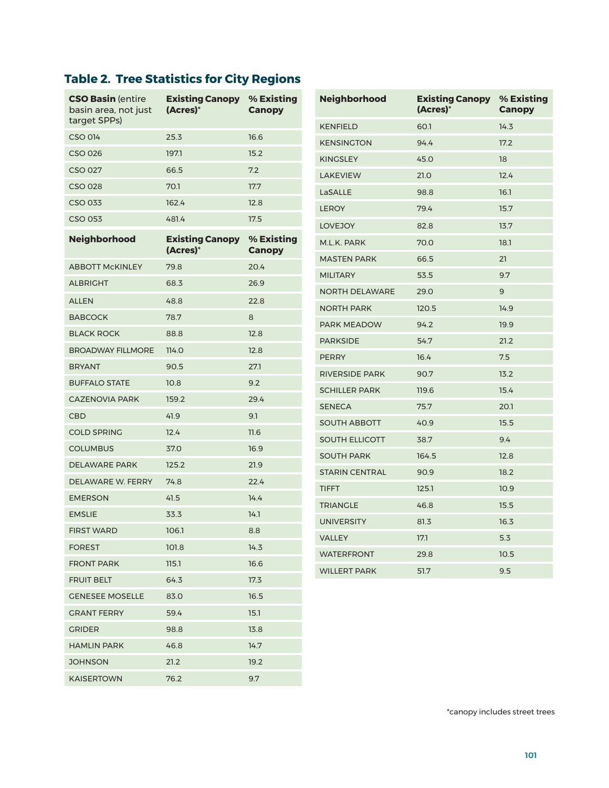# **Table 2. Tree Statistics for City Regions**

| <b>CSO Basin (entire)</b><br>basin area, not just | <b>Existing Canopy</b><br>% Existing<br>(Acres)*<br><b>Canopy</b> |                             | <b>Neighborhood</b>   | <b>Existing Canopy</b><br>(Acres)* | % Existing<br><b>Canopy</b> |
|---------------------------------------------------|-------------------------------------------------------------------|-----------------------------|-----------------------|------------------------------------|-----------------------------|
| target SPPs)                                      |                                                                   |                             | <b>KENFIELD</b>       | 60.1                               | 14.3                        |
| <b>CSO 014</b>                                    | 25.3                                                              | 16.6                        | <b>KENSINGTON</b>     | 94.4                               | 17.2                        |
| <b>CSO 026</b>                                    | 197.1                                                             | 15.2                        | <b>KINGSLEY</b>       | 45.0                               | 18                          |
| <b>CSO 027</b>                                    | 66.5                                                              | 7.2                         | <b>LAKEVIEW</b>       | 21.0                               | 12.4                        |
| <b>CSO 028</b>                                    | 70.1                                                              | 17.7                        | LaSALLE               | 98.8                               | 16.1                        |
| CSO 033                                           | 162.4                                                             | 12.8                        | <b>LEROY</b>          | 79.4                               | 15.7                        |
| <b>CSO 053</b>                                    | 481.4                                                             | 17.5                        | <b>LOVEJOY</b>        | 82.8                               | 13.7                        |
| Neighborhood                                      | <b>Existing Canopy</b><br>(Acres)*                                | % Existing<br><b>Canopy</b> | M.L.K. PARK           | 70.0                               | 18.1                        |
| <b>ABBOTT McKINLEY</b>                            | 79.8                                                              | 20.4                        | <b>MASTEN PARK</b>    | 66.5                               | 21                          |
| <b>ALBRIGHT</b>                                   | 68.3                                                              | 26.9                        | <b>MILITARY</b>       | 53.5                               | 9.7                         |
| <b>ALLEN</b>                                      | 48.8                                                              | 22.8                        | <b>NORTH DELAWARE</b> | 29.0                               | 9                           |
| <b>BABCOCK</b>                                    | 78.7                                                              | 8                           | <b>NORTH PARK</b>     | 120.5                              | 14.9                        |
| <b>BLACK ROCK</b>                                 |                                                                   |                             | PARK MEADOW           | 94.2                               | 19.9                        |
|                                                   | 88.8                                                              | 12.8                        | <b>PARKSIDE</b>       | 54.7                               | 21.2                        |
| <b>BROADWAY FILLMORE</b>                          | 114.0                                                             | 12.8                        | <b>PERRY</b>          | 16.4                               | 7.5                         |
| <b>BRYANT</b>                                     | 90.5                                                              | 27.1                        | <b>RIVERSIDE PARK</b> | 90.7                               | 13.2                        |
| <b>BUFFALO STATE</b>                              | 10.8                                                              | 9.2                         | <b>SCHILLER PARK</b>  | 119.6                              | 15.4                        |
| <b>CAZENOVIA PARK</b>                             | 159.2                                                             | 29.4                        | <b>SENECA</b>         | 75.7                               | 20.1                        |
| <b>CBD</b>                                        | 41.9                                                              | 9.1                         | <b>SOUTH ABBOTT</b>   | 40.9                               | 15.5                        |
| <b>COLD SPRING</b>                                | 12.4                                                              | 11.6                        | <b>SOUTH ELLICOTT</b> | 38.7                               | 9.4                         |
| <b>COLUMBUS</b>                                   | 37.0                                                              | 16.9                        | <b>SOUTH PARK</b>     | 164.5                              | 12.8                        |
| <b>DELAWARE PARK</b>                              | 125.2                                                             | 21.9                        | <b>STARIN CENTRAL</b> | 90.9                               | 18.2                        |
| DELAWARE W. FERRY                                 | 74.8                                                              | 22.4                        | <b>TIFFT</b>          | 125.1                              | 10.9                        |
| <b>EMERSON</b>                                    | 41.5                                                              | 14.4                        | <b>TRIANGLE</b>       | 46.8                               | 15.5                        |
| <b>EMSLIE</b>                                     | 33.3                                                              | 14.1                        | <b>UNIVERSITY</b>     | 81.3                               | 16.3                        |
| <b>FIRST WARD</b>                                 | 106.1                                                             | 8.8                         | <b>VALLEY</b>         | 17.1                               | 5.3                         |
| <b>FOREST</b>                                     | 101.8                                                             | 14.3                        | <b>WATERFRONT</b>     | 29.8                               | 10.5                        |
| <b>FRONT PARK</b>                                 | 115.1                                                             | 16.6                        | <b>WILLERT PARK</b>   | 51.7                               | 9.5                         |
| <b>FRUIT BELT</b>                                 | 64.3                                                              | 17.3                        |                       |                                    |                             |
| <b>GENESEE MOSELLE</b>                            | 83.0                                                              | 16.5                        |                       |                                    |                             |
| <b>GRANT FERRY</b>                                | 59.4                                                              | 15.1                        |                       |                                    |                             |
| <b>GRIDER</b>                                     | 98.8                                                              | 13.8                        |                       |                                    |                             |
| <b>HAMLIN PARK</b>                                | 46.8                                                              | 14.7                        |                       |                                    |                             |
| <b>JOHNSON</b>                                    | 21.2                                                              | 19.2                        |                       |                                    |                             |
| <b>KAISERTOWN</b>                                 | 76.2                                                              | 9.7                         |                       |                                    |                             |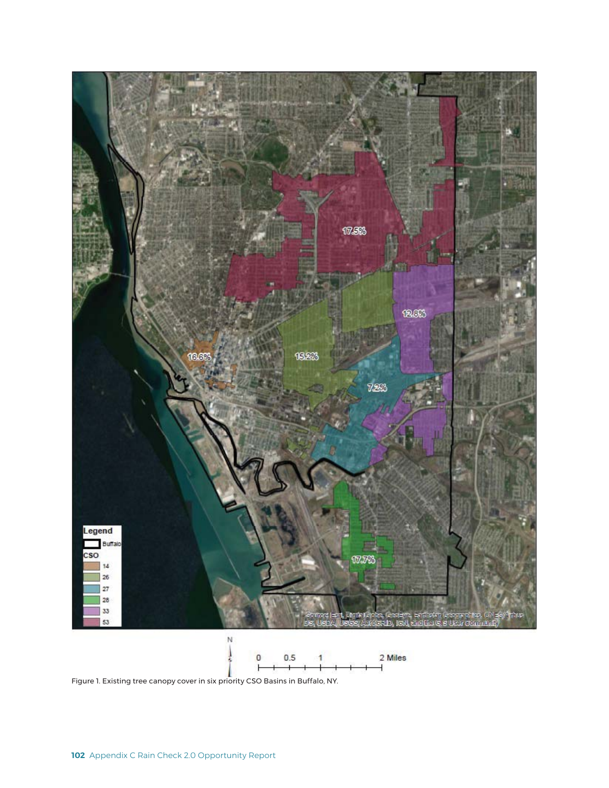

Figure 1. Existing tree canopy cover in six priority CSO Basins in Buffalo, NY.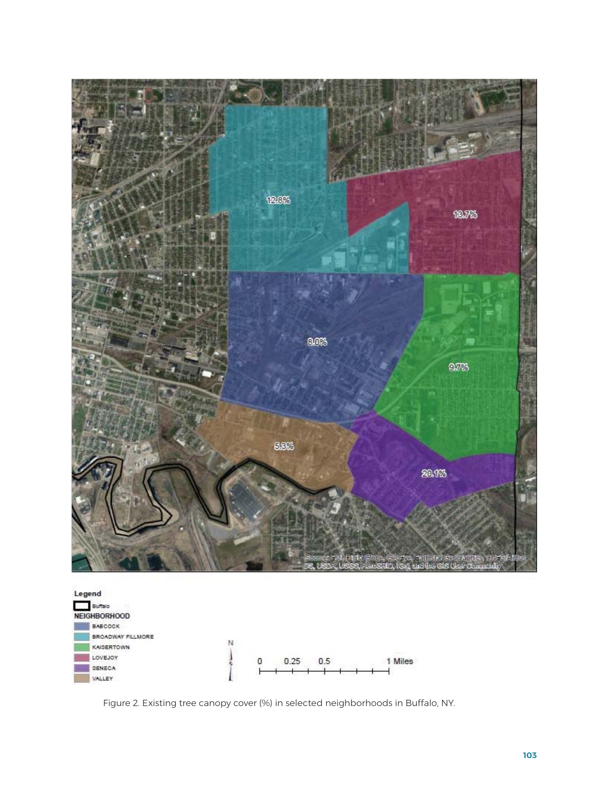

![](_page_4_Figure_1.jpeg)

Figure 2. Existing tree canopy cover (%) in selected neighborhoods in Buffalo, NY.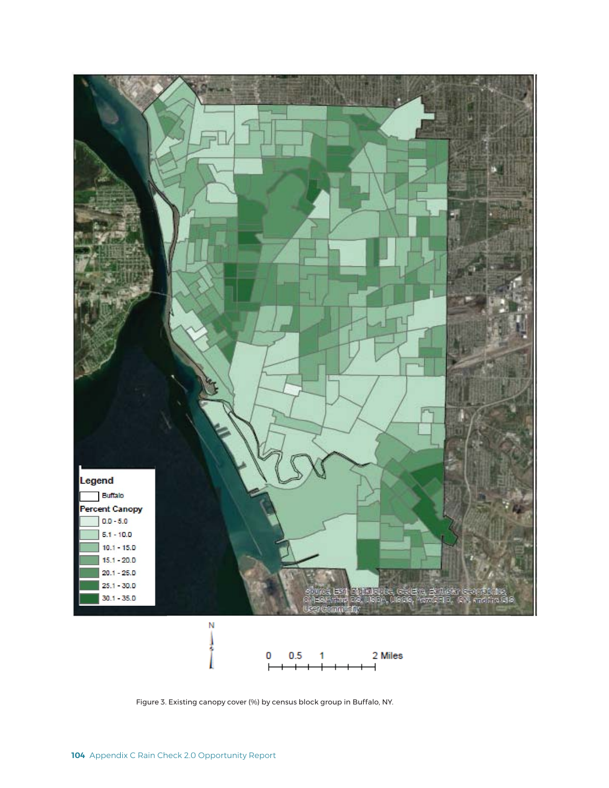![](_page_5_Figure_0.jpeg)

Figure 3. Existing canopy cover (%) by census block group in Buffalo, NY.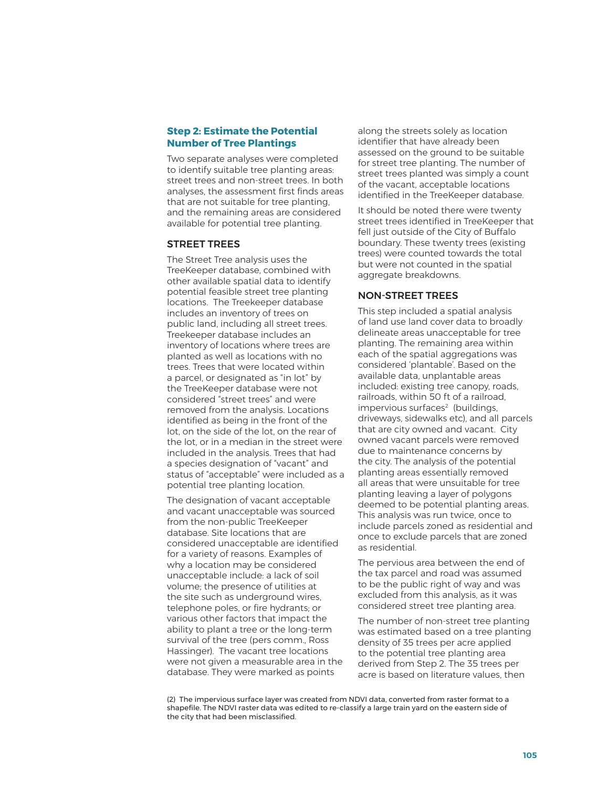#### **Step 2: Estimate the Potential Number of Tree Plantings**

Two separate analyses were completed to identify suitable tree planting areas: street trees and non-street trees. In both analyses, the assessment first finds areas that are not suitable for tree planting, and the remaining areas are considered available for potential tree planting.

#### STREET TREES

The Street Tree analysis uses the TreeKeeper database, combined with other available spatial data to identify potential feasible street tree planting locations. The Treekeeper database includes an inventory of trees on public land, including all street trees. Treekeeper database includes an inventory of locations where trees are planted as well as locations with no trees. Trees that were located within a parcel, or designated as "in lot" by the TreeKeeper database were not considered "street trees" and were removed from the analysis. Locations identified as being in the front of the lot, on the side of the lot, on the rear of the lot, or in a median in the street were included in the analysis. Trees that had a species designation of "vacant" and status of "acceptable" were included as a potential tree planting location.

The designation of vacant acceptable and vacant unacceptable was sourced from the non-public TreeKeeper database. Site locations that are considered unacceptable are identified for a variety of reasons. Examples of why a location may be considered unacceptable include: a lack of soil volume; the presence of utilities at the site such as underground wires, telephone poles, or fire hydrants; or various other factors that impact the ability to plant a tree or the long-term survival of the tree (pers comm., Ross Hassinger). The vacant tree locations were not given a measurable area in the database. They were marked as points

along the streets solely as location identifier that have already been assessed on the ground to be suitable for street tree planting. The number of street trees planted was simply a count of the vacant, acceptable locations identified in the TreeKeeper database.

It should be noted there were twenty street trees identified in TreeKeeper that fell just outside of the City of Buffalo boundary. These twenty trees (existing trees) were counted towards the total but were not counted in the spatial aggregate breakdowns.

#### NON-STREET TREES

This step included a spatial analysis of land use land cover data to broadly delineate areas unacceptable for tree planting. The remaining area within each of the spatial aggregations was considered 'plantable'. Based on the available data, unplantable areas included: existing tree canopy, roads, railroads, within 50 ft of a railroad, impervious surfaces<sup>2</sup> (buildings, driveways, sidewalks etc), and all parcels that are city owned and vacant. City owned vacant parcels were removed due to maintenance concerns by the city. The analysis of the potential planting areas essentially removed all areas that were unsuitable for tree planting leaving a layer of polygons deemed to be potential planting areas. This analysis was run twice, once to include parcels zoned as residential and once to exclude parcels that are zoned as residential.

The pervious area between the end of the tax parcel and road was assumed to be the public right of way and was excluded from this analysis, as it was considered street tree planting area.

The number of non-street tree planting was estimated based on a tree planting density of 35 trees per acre applied to the potential tree planting area derived from Step 2. The 35 trees per acre is based on literature values, then

(2) The impervious surface layer was created from NDVI data, converted from raster format to a shapefile. The NDVI raster data was edited to re-classify a large train yard on the eastern side of the city that had been misclassified.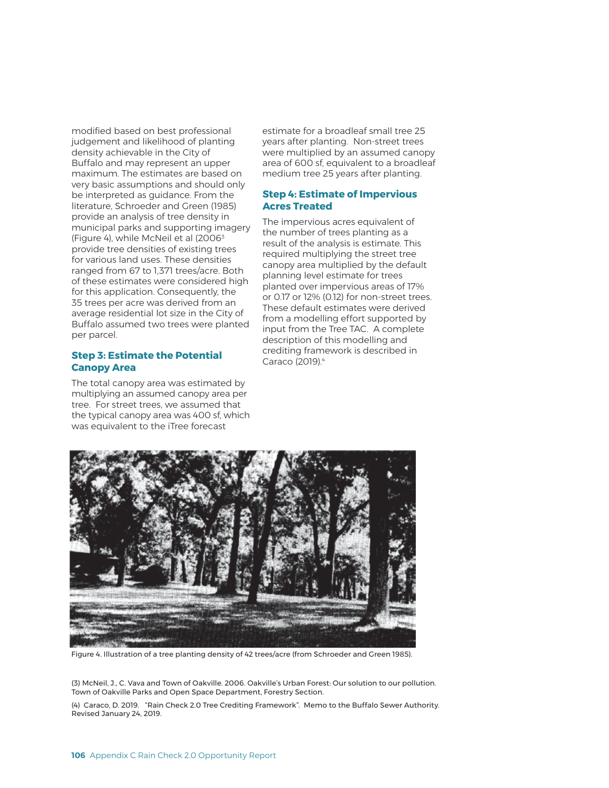modified based on best professional judgement and likelihood of planting density achievable in the City of Buffalo and may represent an upper maximum. The estimates are based on very basic assumptions and should only be interpreted as guidance. From the literature, Schroeder and Green (1985) provide an analysis of tree density in municipal parks and supporting imagery (Figure 4), while McNeil et al (20063 provide tree densities of existing trees for various land uses. These densities ranged from 67 to 1,371 trees/acre. Both of these estimates were considered high for this application. Consequently, the 35 trees per acre was derived from an average residential lot size in the City of Buffalo assumed two trees were planted per parcel.

#### **Step 3: Estimate the Potential Canopy Area**

The total canopy area was estimated by multiplying an assumed canopy area per tree. For street trees, we assumed that the typical canopy area was 400 sf, which was equivalent to the iTree forecast

estimate for a broadleaf small tree 25 years after planting. Non-street trees were multiplied by an assumed canopy area of 600 sf, equivalent to a broadleaf medium tree 25 years after planting.

#### **Step 4: Estimate of Impervious Acres Treated**

The impervious acres equivalent of the number of trees planting as a result of the analysis is estimate. This required multiplying the street tree canopy area multiplied by the default planning level estimate for trees planted over impervious areas of 17% or 0.17 or 12% (0.12) for non-street trees. These default estimates were derived from a modelling effort supported by input from the Tree TAC. A complete description of this modelling and crediting framework is described in Caraco (2019).4

![](_page_7_Picture_6.jpeg)

Figure 4. Illustration of a tree planting density of 42 trees/acre (from Schroeder and Green 1985).

(3) McNeil, J., C. Vava and Town of Oakville. 2006. Oakville's Urban Forest: Our solution to our pollution. Town of Oakville Parks and Open Space Department, Forestry Section.

(4) Caraco, D. 2019. "Rain Check 2.0 Tree Crediting Framework". Memo to the Buffalo Sewer Authority. Revised January 24, 2019.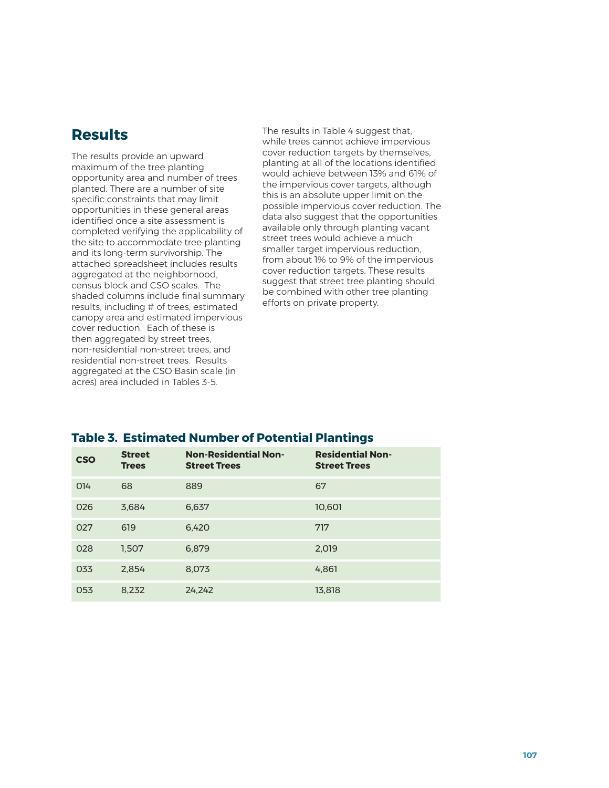## **Results**

The results provide an upward maximum of the tree planting opportunity area and number of trees planted. There are a number of site specific constraints that may limit opportunities in these general areas identified once a site assessment is completed verifying the applicability of the site to accommodate tree planting and its long-term survivorship. The attached spreadsheet includes results aggregated at the neighborhood, census block and CSO scales. The shaded columns include final summary results, including # of trees, estimated canopy area and estimated impervious cover reduction. Each of these is then aggregated by street trees, non-residential non-street trees, and residential non-street trees. Results aggregated at the CSO Basin scale (in acres) area included in Tables 3-5.

The results in Table 4 suggest that, while trees cannot achieve impervious cover reduction targets by themselves, planting at all of the locations identified would achieve between 13% and 61% of the impervious cover targets, although this is an absolute upper limit on the possible impervious cover reduction. The data also suggest that the opportunities available only through planting vacant street trees would achieve a much smaller target impervious reduction, from about 1% to 9% of the impervious cover reduction targets. These results suggest that street tree planting should be combined with other tree planting efforts on private property.

### **Table 3. Estimated Number of Potential Plantings**

| <b>CSO</b> | <b>Street</b><br><b>Trees</b> | <b>Non-Residential Non-</b><br><b>Street Trees</b> | <b>Residential Non-</b><br><b>Street Trees</b> |
|------------|-------------------------------|----------------------------------------------------|------------------------------------------------|
| 014        | 68                            | 889                                                | 67                                             |
| 026        | 3,684                         | 6,637                                              | 10.601                                         |
| 027        | 619                           | 6.420                                              | 717                                            |
| 028        | 1,507                         | 6.879                                              | 2,019                                          |
| 033        | 2,854                         | 8.073                                              | 4,861                                          |
| 053        | 8,232                         | 24,242                                             | 13,818                                         |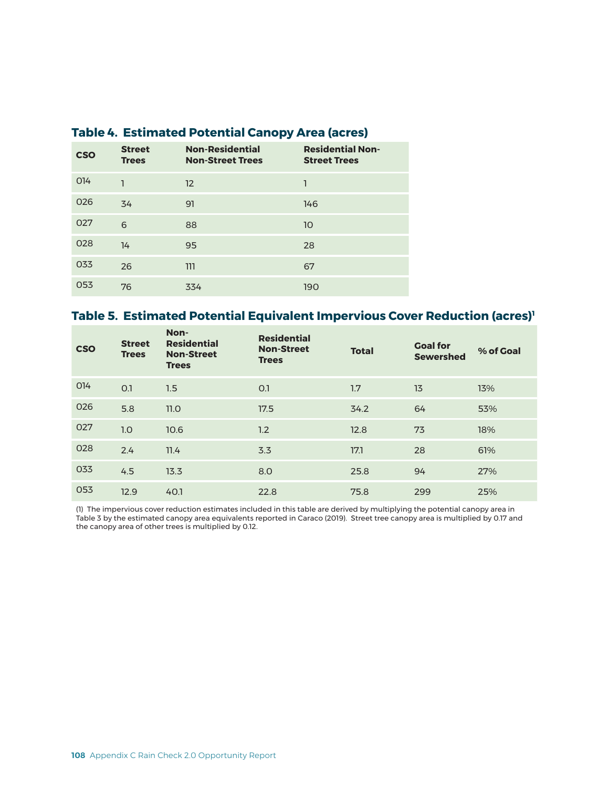| <b>CSO</b>      | <b>Street</b><br><b>Trees</b> | <b>Non-Residential</b><br><b>Non-Street Trees</b> | <b>Residential Non-</b><br><b>Street Trees</b> |
|-----------------|-------------------------------|---------------------------------------------------|------------------------------------------------|
| O <sub>14</sub> | ٦                             | 12                                                | 1                                              |
| 026             | 34                            | 91                                                | 146                                            |
| 027             | 6                             | 88                                                | 10                                             |
| 028             | 14                            | 95                                                | 28                                             |
| 033             | 26                            | 111                                               | 67                                             |
| 053             | 76                            | 334                                               | 190                                            |

### **Table 4. Estimated Potential Canopy Area (acres)**

### **Table 5. Estimated Potential Equivalent Impervious Cover Reduction (acres)1**

| <b>CSO</b> | <b>Street</b><br><b>Trees</b> | Non-<br><b>Residential</b><br><b>Non-Street</b><br><b>Trees</b> | <b>Residential</b><br><b>Non-Street</b><br><b>Trees</b> | <b>Total</b> | <b>Goal for</b><br><b>Sewershed</b> | % of Goal |
|------------|-------------------------------|-----------------------------------------------------------------|---------------------------------------------------------|--------------|-------------------------------------|-----------|
| 014        | O.1                           | 1.5                                                             | O.1                                                     | 1.7          | 13                                  | 13%       |
| 026        | 5.8                           | 11.0                                                            | 17.5                                                    | 34.2         | 64                                  | 53%       |
| 027        | 1.0                           | 10.6                                                            | 1.2                                                     | 12.8         | 73                                  | 18%       |
| 028        | 2.4                           | 11.4                                                            | 3.3                                                     | 17.1         | 28                                  | 61%       |
| 033        | 4.5                           | 13.3                                                            | 8.0                                                     | 25.8         | 94                                  | 27%       |
| 053        | 12.9                          | 40.1                                                            | 22.8                                                    | 75.8         | 299                                 | 25%       |

(1) The impervious cover reduction estimates included in this table are derived by multiplying the potential canopy area in Table 3 by the estimated canopy area equivalents reported in Caraco (2019). Street tree canopy area is multiplied by 0.17 and the canopy area of other trees is multiplied by 0.12.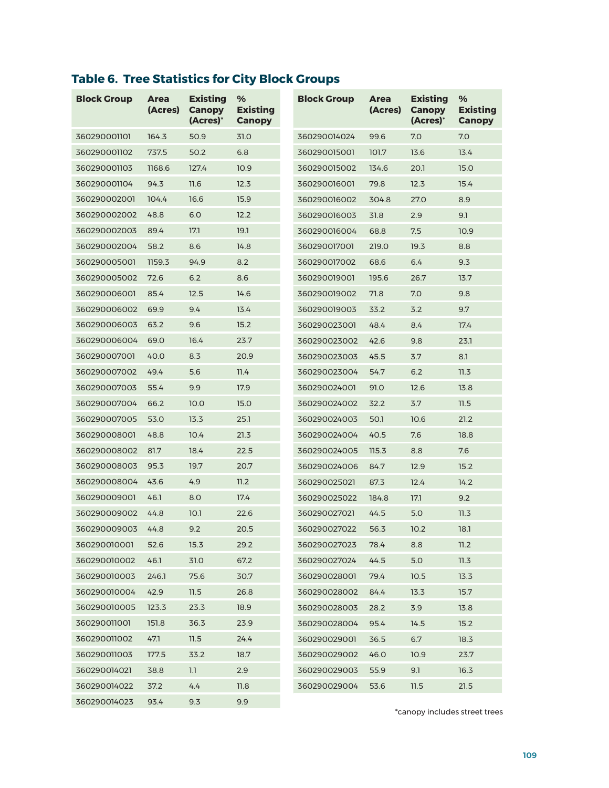# **Table 6. Tree Statistics for City Block Groups**

| <b>Block Group</b> | <b>Area</b><br>(Acres) | <b>Existing</b><br><b>Canopy</b><br>(Acres)* | %<br><b>Existing</b><br><b>Canopy</b> | <b>Block Group</b> | <b>Area</b><br>(Acres) | <b>Existing</b><br><b>Canopy</b><br>$(Acres)^*$ | %<br><b>Existing</b><br><b>Canopy</b> |
|--------------------|------------------------|----------------------------------------------|---------------------------------------|--------------------|------------------------|-------------------------------------------------|---------------------------------------|
| 360290001101       | 164.3                  | 50.9                                         | 31.0                                  | 360290014024       | 99.6                   | 7.0                                             | 7.0                                   |
| 360290001102       | 737.5                  | 50.2                                         | 6.8                                   | 360290015001       | 101.7                  | 13.6                                            | 13.4                                  |
| 360290001103       | 1168.6                 | 127.4                                        | 10.9                                  | 360290015002       | 134.6                  | 20.1                                            | 15.0                                  |
| 360290001104       | 94.3                   | 11.6                                         | 12.3                                  | 360290016001       | 79.8                   | 12.3                                            | 15.4                                  |
| 360290002001       | 104.4                  | 16.6                                         | 15.9                                  | 360290016002       | 304.8                  | 27.0                                            | 8.9                                   |
| 360290002002       | 48.8                   | 6.0                                          | 12.2                                  | 360290016003       | 31.8                   | 2.9                                             | 9.1                                   |
| 360290002003       | 89.4                   | 17.1                                         | 19.1                                  | 360290016004       | 68.8                   | 7.5                                             | 10.9                                  |
| 360290002004       | 58.2                   | 8.6                                          | 14.8                                  | 360290017001       | 219.0                  | 19.3                                            | 8.8                                   |
| 360290005001       | 1159.3                 | 94.9                                         | 8.2                                   | 360290017002       | 68.6                   | 6.4                                             | 9.3                                   |
| 360290005002       | 72.6                   | 6.2                                          | 8.6                                   | 360290019001       | 195.6                  | 26.7                                            | 13.7                                  |
| 360290006001       | 85.4                   | 12.5                                         | 14.6                                  | 360290019002       | 71.8                   | 7.0                                             | 9.8                                   |
| 360290006002       | 69.9                   | 9.4                                          | 13.4                                  | 360290019003       | 33.2                   | 3.2                                             | 9.7                                   |
| 360290006003       | 63.2                   | 9.6                                          | 15.2                                  | 360290023001       | 48.4                   | 8.4                                             | 17.4                                  |
| 360290006004       | 69.0                   | 16.4                                         | 23.7                                  | 360290023002       | 42.6                   | 9.8                                             | 23.1                                  |
| 360290007001       | 40.0                   | 8.3                                          | 20.9                                  | 360290023003       | 45.5                   | 3.7                                             | 8.1                                   |
| 360290007002       | 49.4                   | 5.6                                          | 11.4                                  | 360290023004       | 54.7                   | 6.2                                             | 11.3                                  |
| 360290007003       | 55.4                   | 9.9                                          | 17.9                                  | 360290024001       | 91.0                   | 12.6                                            | 13.8                                  |
| 360290007004       | 66.2                   | 10.0                                         | 15.0                                  | 360290024002       | 32.2                   | 3.7                                             | 11.5                                  |
| 360290007005       | 53.0                   | 13.3                                         | 25.1                                  | 360290024003       | 50.1                   | 10.6                                            | 21.2                                  |
| 360290008001       | 48.8                   | 10.4                                         | 21.3                                  | 360290024004       | 40.5                   | 7.6                                             | 18.8                                  |
| 360290008002       | 81.7                   | 18.4                                         | 22.5                                  | 360290024005       | 115.3                  | 8.8                                             | 7.6                                   |
| 360290008003       | 95.3                   | 19.7                                         | 20.7                                  | 360290024006       | 84.7                   | 12.9                                            | 15.2                                  |
| 360290008004       | 43.6                   | 4.9                                          | 11.2                                  | 360290025021       | 87.3                   | 12.4                                            | 14.2                                  |
| 360290009001       | 46.1                   | 8.0                                          | 17.4                                  | 360290025022       | 184.8                  | 17.1                                            | 9.2                                   |
| 360290009002       | 44.8                   | 10.1                                         | 22.6                                  | 360290027021       | 44.5                   | 5.0                                             | 11.3                                  |
| 360290009003       | 44.8                   | 9.2                                          | 20.5                                  | 360290027022       | 56.3                   | 10.2                                            | 18.1                                  |
| 360290010001       | 52.6                   | 15.3                                         | 29.2                                  | 360290027023       | 78.4                   | 8.8                                             | 11.2                                  |
| 360290010002       | 46.1                   | 31.0                                         | 67.2                                  | 360290027024       | 44.5                   | $5.0$                                           | 11.3                                  |
| 360290010003       | 246.1                  | 75.6                                         | 30.7                                  | 360290028001       | 79.4                   | 10.5                                            | 13.3                                  |
| 360290010004       | 42.9                   | 11.5                                         | 26.8                                  | 360290028002       | 84.4                   | 13.3                                            | 15.7                                  |
| 360290010005       | 123.3                  | 23.3                                         | 18.9                                  | 360290028003       | 28.2                   | 3.9                                             | 13.8                                  |
| 360290011001       | 151.8                  | 36.3                                         | 23.9                                  | 360290028004       | 95.4                   | 14.5                                            | 15.2                                  |
| 360290011002       | 47.1                   | 11.5                                         | 24.4                                  | 360290029001       | 36.5                   | 6.7                                             | 18.3                                  |
| 360290011003       | 177.5                  | 33.2                                         | 18.7                                  | 360290029002       | 46.0                   | 10.9                                            | 23.7                                  |
| 360290014021       | 38.8                   | 1.1                                          | 2.9                                   | 360290029003       | 55.9                   | 9.1                                             | 16.3                                  |
| 360290014022       | 37.2                   | 4.4                                          | 11.8                                  | 360290029004       | 53.6                   | 11.5                                            | 21.5                                  |
| 360290014023       | 93.4                   | 9.3                                          | 9.9                                   |                    |                        |                                                 |                                       |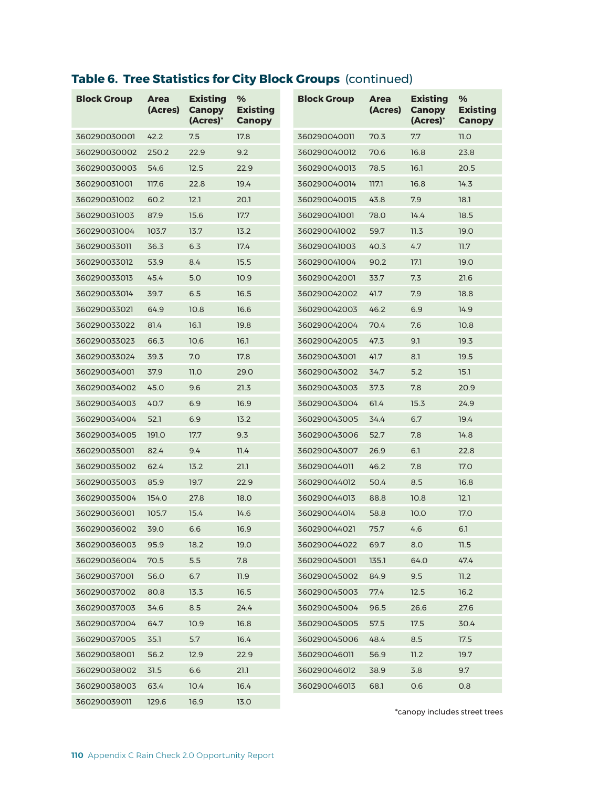## **Table 6. Tree Statistics for City Block Groups** (continued)

| <b>Block Group</b> | <b>Area</b><br>(Acres) | <b>Existing</b><br><b>Canopy</b><br>(Acres)* | ℅<br><b>Existing</b><br><b>Canopy</b> | <b>Block Group</b> | <b>Area</b><br>(Acres) | <b>Existing</b><br><b>Canopy</b><br>(Acres)* | %<br><b>Existing</b><br><b>Canopy</b> |
|--------------------|------------------------|----------------------------------------------|---------------------------------------|--------------------|------------------------|----------------------------------------------|---------------------------------------|
| 360290030001       | 42.2                   | 7.5                                          | 17.8                                  | 360290040011       | 70.3                   | 7.7                                          | 11.0                                  |
| 360290030002       | 250.2                  | 22.9                                         | 9.2                                   | 360290040012       | 70.6                   | 16.8                                         | 23.8                                  |
| 360290030003       | 54.6                   | 12.5                                         | 22.9                                  | 360290040013       | 78.5                   | 16.1                                         | 20.5                                  |
| 360290031001       | 117.6                  | 22.8                                         | 19.4                                  | 360290040014       | 117.1                  | 16.8                                         | 14.3                                  |
| 360290031002       | 60.2                   | 12.1                                         | 20.1                                  | 360290040015       | 43.8                   | 7.9                                          | 18.1                                  |
| 360290031003       | 87.9                   | 15.6                                         | 17.7                                  | 360290041001       | 78.0                   | 14.4                                         | 18.5                                  |
| 360290031004       | 103.7                  | 13.7                                         | 13.2                                  | 360290041002       | 59.7                   | 11.3                                         | 19.0                                  |
| 360290033011       | 36.3                   | 6.3                                          | 17.4                                  | 360290041003       | 40.3                   | 4.7                                          | 11.7                                  |
| 360290033012       | 53.9                   | 8.4                                          | 15.5                                  | 360290041004       | 90.2                   | 17.1                                         | 19.0                                  |
| 360290033013       | 45.4                   | 5.0                                          | 10.9                                  | 360290042001       | 33.7                   | 7.3                                          | 21.6                                  |
| 360290033014       | 39.7                   | 6.5                                          | 16.5                                  | 360290042002       | 41.7                   | 7.9                                          | 18.8                                  |
| 360290033021       | 64.9                   | 10.8                                         | 16.6                                  | 360290042003       | 46.2                   | 6.9                                          | 14.9                                  |
| 360290033022       | 81.4                   | 16.1                                         | 19.8                                  | 360290042004       | 70.4                   | 7.6                                          | 10.8                                  |
| 360290033023       | 66.3                   | 10.6                                         | 16.1                                  | 360290042005       | 47.3                   | 9.1                                          | 19.3                                  |
| 360290033024       | 39.3                   | 7.0                                          | 17.8                                  | 360290043001       | 41.7                   | 8.1                                          | 19.5                                  |
| 360290034001       | 37.9                   | 11.0                                         | 29.0                                  | 360290043002       | 34.7                   | 5.2                                          | 15.1                                  |
| 360290034002       | 45.0                   | 9.6                                          | 21.3                                  | 360290043003       | 37.3                   | 7.8                                          | 20.9                                  |
| 360290034003       | 40.7                   | 6.9                                          | 16.9                                  | 360290043004       | 61.4                   | 15.3                                         | 24.9                                  |
| 360290034004       | 52.1                   | 6.9                                          | 13.2                                  | 360290043005       | 34.4                   | 6.7                                          | 19.4                                  |
| 360290034005       | 191.0                  | 17.7                                         | 9.3                                   | 360290043006       | 52.7                   | 7.8                                          | 14.8                                  |
| 360290035001       | 82.4                   | 9.4                                          | 11.4                                  | 360290043007       | 26.9                   | 6.1                                          | 22.8                                  |
| 360290035002       | 62.4                   | 13.2                                         | 21.1                                  | 360290044011       | 46.2                   | 7.8                                          | 17.0                                  |
| 360290035003       | 85.9                   | 19.7                                         | 22.9                                  | 360290044012       | 50.4                   | 8.5                                          | 16.8                                  |
| 360290035004       | 154.0                  | 27.8                                         | 18.0                                  | 360290044013       | 88.8                   | 10.8                                         | 12.1                                  |
| 360290036001       | 105.7                  | 15.4                                         | 14.6                                  | 360290044014       | 58.8                   | 10.0                                         | 17.0                                  |
| 360290036002       | 39.0                   | 6.6                                          | 16.9                                  | 360290044021       | 75.7                   | 4.6                                          | 6.1                                   |
| 360290036003       | 95.9                   | 18.2                                         | 19.0                                  | 360290044022       | 69.7                   | 8.0                                          | 11.5                                  |
| 360290036004       | 70.5                   | 5.5                                          | 7.8                                   | 360290045001       | 135.1                  | 64.0                                         | 47.4                                  |
| 360290037001       | 56.0                   | 6.7                                          | 11.9                                  | 360290045002       | 84.9                   | 9.5                                          | 11.2                                  |
| 360290037002       | 80.8                   | 13.3                                         | 16.5                                  | 360290045003       | 77.4                   | 12.5                                         | 16.2                                  |
| 360290037003       | 34.6                   | 8.5                                          | 24.4                                  | 360290045004       | 96.5                   | 26.6                                         | 27.6                                  |
| 360290037004       | 64.7                   | 10.9                                         | 16.8                                  | 360290045005       | 57.5                   | 17.5                                         | 30.4                                  |
| 360290037005       | 35.1                   | 5.7                                          | 16.4                                  | 360290045006       | 48.4                   | $8.5\,$                                      | 17.5                                  |
| 360290038001       | 56.2                   | 12.9                                         | 22.9                                  | 360290046011       | 56.9                   | 11.2                                         | 19.7                                  |
| 360290038002       | 31.5                   | 6.6                                          | 21.1                                  | 360290046012       | 38.9                   | 3.8                                          | 9.7                                   |
| 360290038003       | 63.4                   | 10.4                                         | 16.4                                  | 360290046013       | 68.1                   | 0.6                                          | 0.8                                   |
| 360290039011       | 129.6                  | 16.9                                         | 13.0                                  |                    |                        |                                              |                                       |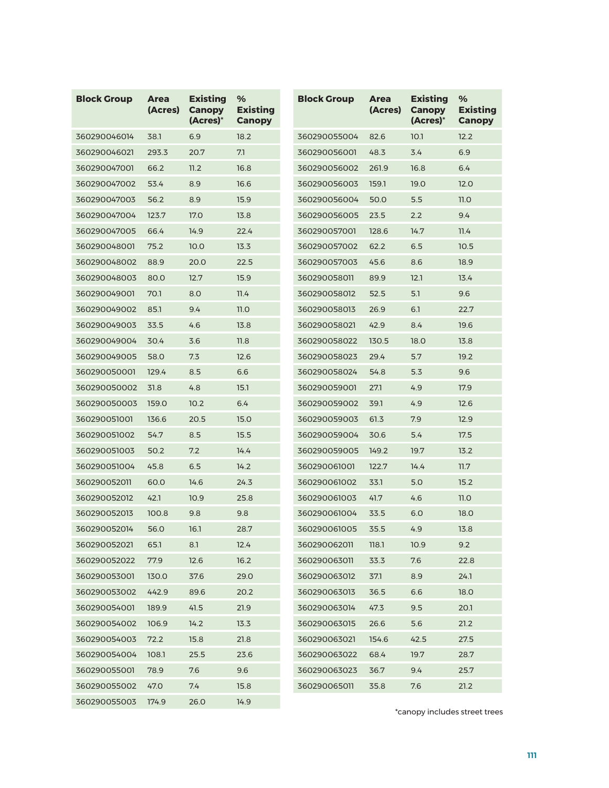| <b>Block Group</b> | <b>Area</b><br>(Acres) | <b>Existing</b><br><b>Canopy</b><br>(Acres)* | %<br><b>Existing</b><br><b>Canopy</b> | <b>Block Group</b> | <b>Area</b><br>(Acres) | <b>Existing</b><br><b>Canopy</b><br>$(Acres)^*$ | %<br><b>Existing</b><br><b>Canopy</b> |
|--------------------|------------------------|----------------------------------------------|---------------------------------------|--------------------|------------------------|-------------------------------------------------|---------------------------------------|
| 360290046014       | 38.1                   | 6.9                                          | 18.2                                  | 360290055004       | 82.6                   | 10.1                                            | 12.2                                  |
| 360290046021       | 293.3                  | 20.7                                         | 7.1                                   | 360290056001       | 48.3                   | 3.4                                             | 6.9                                   |
| 360290047001       | 66.2                   | 11.2                                         | 16.8                                  | 360290056002       | 261.9                  | 16.8                                            | 6.4                                   |
| 360290047002       | 53.4                   | 8.9                                          | 16.6                                  | 360290056003       | 159.1                  | 19.0                                            | 12.0                                  |
| 360290047003       | 56.2                   | 8.9                                          | 15.9                                  | 360290056004       | 50.0                   | 5.5                                             | 11.0                                  |
| 360290047004       | 123.7                  | 17.0                                         | 13.8                                  | 360290056005       | 23.5                   | 2.2                                             | 9.4                                   |
| 360290047005       | 66.4                   | 14.9                                         | 22.4                                  | 360290057001       | 128.6                  | 14.7                                            | 11.4                                  |
| 360290048001       | 75.2                   | 10.0                                         | 13.3                                  | 360290057002       | 62.2                   | 6.5                                             | 10.5                                  |
| 360290048002       | 88.9                   | 20.0                                         | 22.5                                  | 360290057003       | 45.6                   | 8.6                                             | 18.9                                  |
| 360290048003       | 80.0                   | 12.7                                         | 15.9                                  | 360290058011       | 89.9                   | 12.1                                            | 13.4                                  |
| 360290049001       | 70.1                   | 8.0                                          | 11.4                                  | 360290058012       | 52.5                   | 5.1                                             | 9.6                                   |
| 360290049002       | 85.1                   | 9.4                                          | 11.0                                  | 360290058013       | 26.9                   | 6.1                                             | 22.7                                  |
| 360290049003       | 33.5                   | 4.6                                          | 13.8                                  | 360290058021       | 42.9                   | 8.4                                             | 19.6                                  |
| 360290049004       | 30.4                   | 3.6                                          | 11.8                                  | 360290058022       | 130.5                  | 18.0                                            | 13.8                                  |
| 360290049005       | 58.0                   | 7.3                                          | 12.6                                  | 360290058023       | 29.4                   | 5.7                                             | 19.2                                  |
| 360290050001       | 129.4                  | 8.5                                          | 6.6                                   | 360290058024       | 54.8                   | 5.3                                             | 9.6                                   |
| 360290050002       | 31.8                   | 4.8                                          | 15.1                                  | 360290059001       | 27.1                   | 4.9                                             | 17.9                                  |
| 360290050003       | 159.0                  | 10.2                                         | 6.4                                   | 360290059002       | 39.1                   | 4.9                                             | 12.6                                  |
| 360290051001       | 136.6                  | 20.5                                         | 15.0                                  | 360290059003       | 61.3                   | 7.9                                             | 12.9                                  |
| 360290051002       | 54.7                   | 8.5                                          | 15.5                                  | 360290059004       | 30.6                   | 5.4                                             | 17.5                                  |
| 360290051003       | 50.2                   | 7.2                                          | 14.4                                  | 360290059005       | 149.2                  | 19.7                                            | 13.2                                  |
| 360290051004       | 45.8                   | 6.5                                          | 14.2                                  | 360290061001       | 122.7                  | 14.4                                            | 11.7                                  |
| 360290052011       | 60.0                   | 14.6                                         | 24.3                                  | 360290061002       | 33.1                   | 5.0                                             | 15.2                                  |
| 360290052012       | 42.1                   | 10.9                                         | 25.8                                  | 360290061003       | 41.7                   | 4.6                                             | 11.0                                  |
| 360290052013       | 100.8                  | 9.8                                          | 9.8                                   | 360290061004       | 33.5                   | 6.0                                             | 18.0                                  |
| 360290052014       | 56.0                   | 16.1                                         | 28.7                                  | 360290061005       | 35.5                   | 4.9                                             | 13.8                                  |
| 360290052021       | 65.1                   | 8.1                                          | 12.4                                  | 360290062011       | 118.1                  | 10.9                                            | 9.2                                   |
| 360290052022       | 77.9                   | 12.6                                         | 16.2                                  | 360290063011       | 33.3                   | 7.6                                             | 22.8                                  |
| 360290053001       | 130.0                  | 37.6                                         | 29.0                                  | 360290063012       | 37.1                   | 8.9                                             | 24.1                                  |
| 360290053002       | 442.9                  | 89.6                                         | 20.2                                  | 360290063013       | 36.5                   | 6.6                                             | 18.0                                  |
| 360290054001       | 189.9                  | 41.5                                         | 21.9                                  | 360290063014       | 47.3                   | 9.5                                             | 20.1                                  |
| 360290054002       | 106.9                  | 14.2                                         | 13.3                                  | 360290063015       | 26.6                   | 5.6                                             | 21.2                                  |
| 360290054003       | 72.2                   | 15.8                                         | 21.8                                  | 360290063021       | 154.6                  | 42.5                                            | 27.5                                  |
| 360290054004       | 108.1                  | 25.5                                         | 23.6                                  | 360290063022       | 68.4                   | 19.7                                            | 28.7                                  |
| 360290055001       | 78.9                   | 7.6                                          | 9.6                                   | 360290063023       | 36.7                   | 9.4                                             | 25.7                                  |
| 360290055002       | 47.0                   | 7.4                                          | 15.8                                  | 360290065011       | 35.8                   | 7.6                                             | 21.2                                  |
| 360290055003       | 174.9                  | 26.0                                         | 14.9                                  |                    |                        |                                                 |                                       |